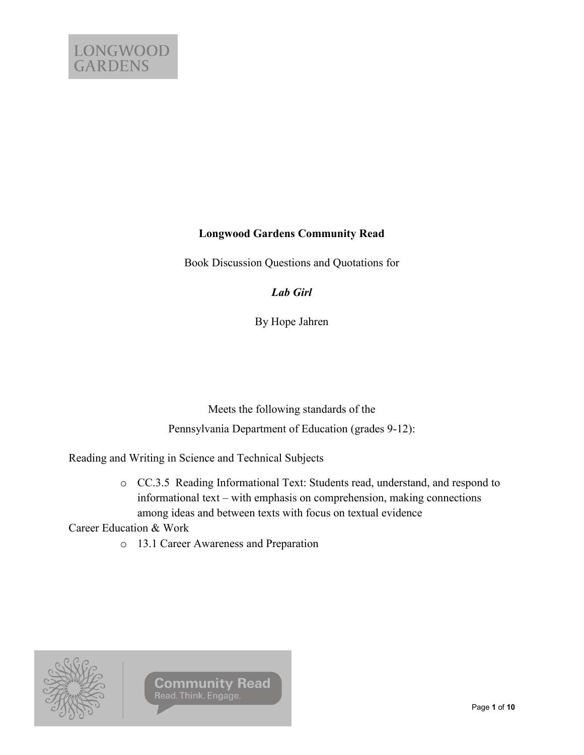# **Longwood Gardens Community Read**

Book Discussion Questions and Quotations for

*Lab Girl*

By Hope Jahren

Meets the following standards of the Pennsylvania Department of Education (grades 9-12):

Reading and Writing in Science and Technical Subjects

o CC.3.5 Reading Informational Text: Students read, understand, and respond to informational text – with emphasis on comprehension, making connections among ideas and between texts with focus on textual evidence

Career Education & Work

o 13.1 Career Awareness and Preparation



**Community Read** Read. Think. Engage.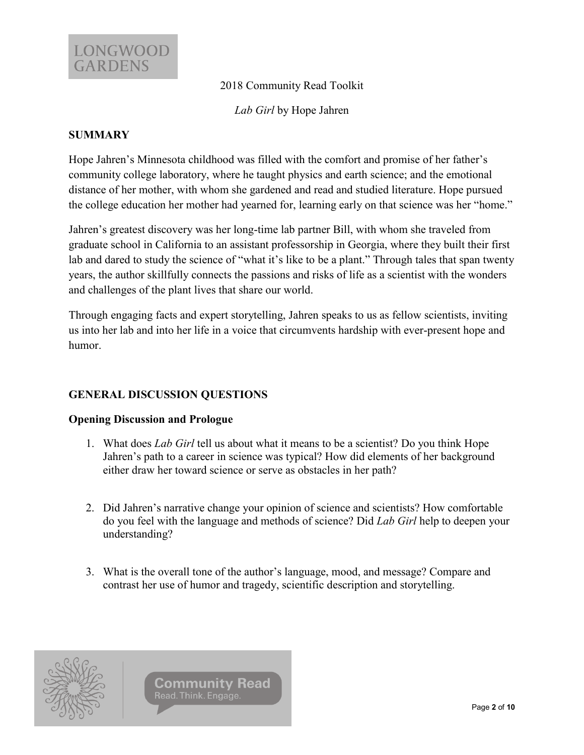

2018 Community Read Toolkit

*Lab Girl* by Hope Jahren

### **SUMMARY**

Hope Jahren's Minnesota childhood was filled with the comfort and promise of her father's community college laboratory, where he taught physics and earth science; and the emotional distance of her mother, with whom she gardened and read and studied literature. Hope pursued the college education her mother had yearned for, learning early on that science was her "home."

Jahren's greatest discovery was her long-time lab partner Bill, with whom she traveled from graduate school in California to an assistant professorship in Georgia, where they built their first lab and dared to study the science of "what it's like to be a plant." Through tales that span twenty years, the author skillfully connects the passions and risks of life as a scientist with the wonders and challenges of the plant lives that share our world.

Through engaging facts and expert storytelling, Jahren speaks to us as fellow scientists, inviting us into her lab and into her life in a voice that circumvents hardship with ever-present hope and humor.

## **GENERAL DISCUSSION QUESTIONS**

### **Opening Discussion and Prologue**

- 1. What does *Lab Girl* tell us about what it means to be a scientist? Do you think Hope Jahren's path to a career in science was typical? How did elements of her background either draw her toward science or serve as obstacles in her path?
- 2. Did Jahren's narrative change your opinion of science and scientists? How comfortable do you feel with the language and methods of science? Did *Lab Girl* help to deepen your understanding?
- 3. What is the overall tone of the author's language, mood, and message? Compare and contrast her use of humor and tragedy, scientific description and storytelling.

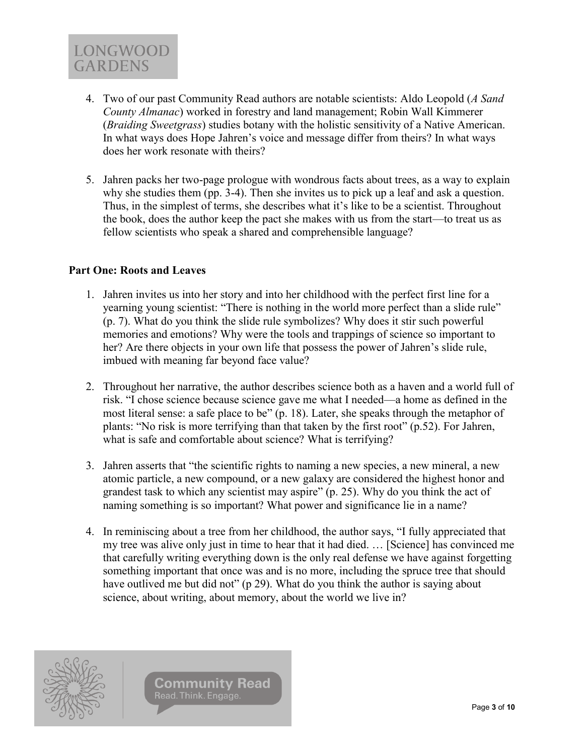

- 4. Two of our past Community Read authors are notable scientists: Aldo Leopold (*A Sand County Almanac*) worked in forestry and land management; Robin Wall Kimmerer (*Braiding Sweetgrass*) studies botany with the holistic sensitivity of a Native American. In what ways does Hope Jahren's voice and message differ from theirs? In what ways does her work resonate with theirs?
- 5. Jahren packs her two-page prologue with wondrous facts about trees, as a way to explain why she studies them (pp. 3-4). Then she invites us to pick up a leaf and ask a question. Thus, in the simplest of terms, she describes what it's like to be a scientist. Throughout the book, does the author keep the pact she makes with us from the start—to treat us as fellow scientists who speak a shared and comprehensible language?

### **Part One: Roots and Leaves**

- 1. Jahren invites us into her story and into her childhood with the perfect first line for a yearning young scientist: "There is nothing in the world more perfect than a slide rule" (p. 7). What do you think the slide rule symbolizes? Why does it stir such powerful memories and emotions? Why were the tools and trappings of science so important to her? Are there objects in your own life that possess the power of Jahren's slide rule, imbued with meaning far beyond face value?
- 2. Throughout her narrative, the author describes science both as a haven and a world full of risk. "I chose science because science gave me what I needed—a home as defined in the most literal sense: a safe place to be" (p. 18). Later, she speaks through the metaphor of plants: "No risk is more terrifying than that taken by the first root" (p.52). For Jahren, what is safe and comfortable about science? What is terrifying?
- 3. Jahren asserts that "the scientific rights to naming a new species, a new mineral, a new atomic particle, a new compound, or a new galaxy are considered the highest honor and grandest task to which any scientist may aspire" (p. 25). Why do you think the act of naming something is so important? What power and significance lie in a name?
- 4. In reminiscing about a tree from her childhood, the author says, "I fully appreciated that my tree was alive only just in time to hear that it had died. … [Science] has convinced me that carefully writing everything down is the only real defense we have against forgetting something important that once was and is no more, including the spruce tree that should have outlived me but did not" (p 29). What do you think the author is saying about science, about writing, about memory, about the world we live in?

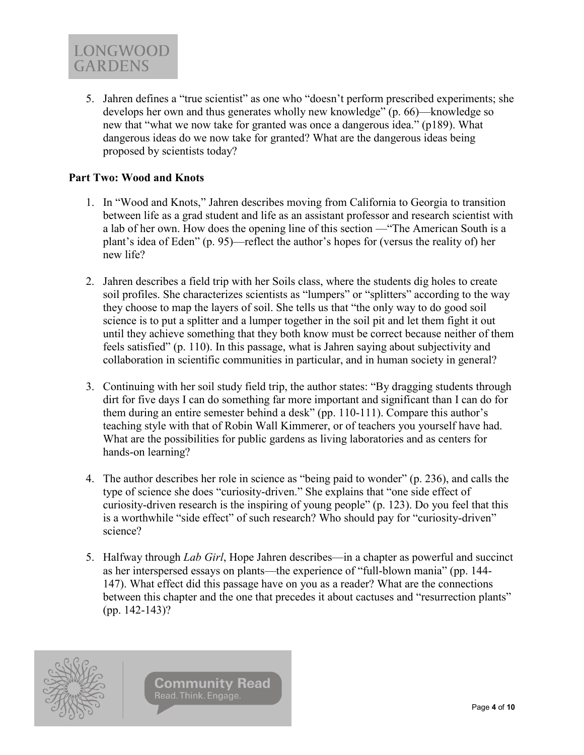

5. Jahren defines a "true scientist" as one who "doesn't perform prescribed experiments; she develops her own and thus generates wholly new knowledge" (p. 66)—knowledge so new that "what we now take for granted was once a dangerous idea." (p189). What dangerous ideas do we now take for granted? What are the dangerous ideas being proposed by scientists today?

#### **Part Two: Wood and Knots**

- 1. In "Wood and Knots," Jahren describes moving from California to Georgia to transition between life as a grad student and life as an assistant professor and research scientist with a lab of her own. How does the opening line of this section —"The American South is a plant's idea of Eden" (p. 95)—reflect the author's hopes for (versus the reality of) her new life?
- 2. Jahren describes a field trip with her Soils class, where the students dig holes to create soil profiles. She characterizes scientists as "lumpers" or "splitters" according to the way they choose to map the layers of soil. She tells us that "the only way to do good soil science is to put a splitter and a lumper together in the soil pit and let them fight it out until they achieve something that they both know must be correct because neither of them feels satisfied" (p. 110). In this passage, what is Jahren saying about subjectivity and collaboration in scientific communities in particular, and in human society in general?
- 3. Continuing with her soil study field trip, the author states: "By dragging students through dirt for five days I can do something far more important and significant than I can do for them during an entire semester behind a desk" (pp. 110-111). Compare this author's teaching style with that of Robin Wall Kimmerer, or of teachers you yourself have had. What are the possibilities for public gardens as living laboratories and as centers for hands-on learning?
- 4. The author describes her role in science as "being paid to wonder" (p. 236), and calls the type of science she does "curiosity-driven." She explains that "one side effect of curiosity-driven research is the inspiring of young people" (p. 123). Do you feel that this is a worthwhile "side effect" of such research? Who should pay for "curiosity-driven" science?
- 5. Halfway through *Lab Girl*, Hope Jahren describes—in a chapter as powerful and succinct as her interspersed essays on plants—the experience of "full-blown mania" (pp. 144- 147). What effect did this passage have on you as a reader? What are the connections between this chapter and the one that precedes it about cactuses and "resurrection plants" (pp. 142-143)?

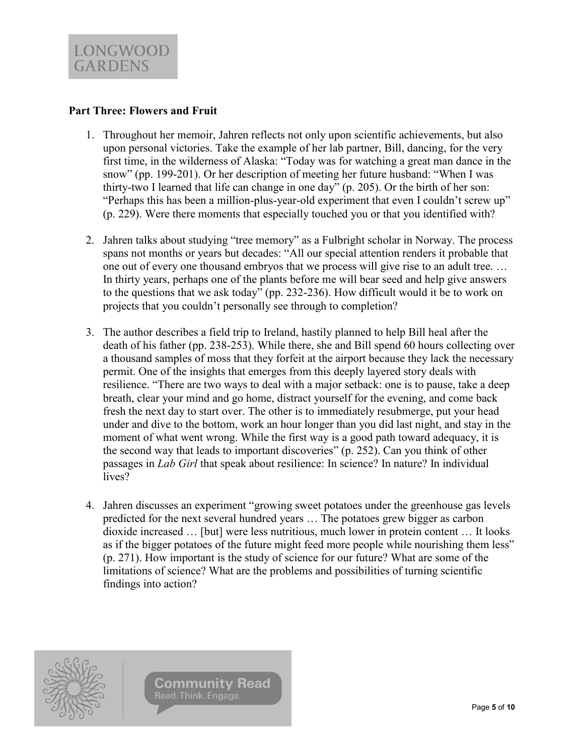### **Part Three: Flowers and Fruit**

- 1. Throughout her memoir, Jahren reflects not only upon scientific achievements, but also upon personal victories. Take the example of her lab partner, Bill, dancing, for the very first time, in the wilderness of Alaska: "Today was for watching a great man dance in the snow" (pp. 199-201). Or her description of meeting her future husband: "When I was thirty-two I learned that life can change in one day" (p. 205). Or the birth of her son: "Perhaps this has been a million-plus-year-old experiment that even I couldn't screw up" (p. 229). Were there moments that especially touched you or that you identified with?
- 2. Jahren talks about studying "tree memory" as a Fulbright scholar in Norway. The process spans not months or years but decades: "All our special attention renders it probable that one out of every one thousand embryos that we process will give rise to an adult tree. … In thirty years, perhaps one of the plants before me will bear seed and help give answers to the questions that we ask today" (pp. 232-236). How difficult would it be to work on projects that you couldn't personally see through to completion?
- 3. The author describes a field trip to Ireland, hastily planned to help Bill heal after the death of his father (pp. 238-253). While there, she and Bill spend 60 hours collecting over a thousand samples of moss that they forfeit at the airport because they lack the necessary permit. One of the insights that emerges from this deeply layered story deals with resilience. "There are two ways to deal with a major setback: one is to pause, take a deep breath, clear your mind and go home, distract yourself for the evening, and come back fresh the next day to start over. The other is to immediately resubmerge, put your head under and dive to the bottom, work an hour longer than you did last night, and stay in the moment of what went wrong. While the first way is a good path toward adequacy, it is the second way that leads to important discoveries" (p. 252). Can you think of other passages in *Lab Girl* that speak about resilience: In science? In nature? In individual lives?
- 4. Jahren discusses an experiment "growing sweet potatoes under the greenhouse gas levels predicted for the next several hundred years … The potatoes grew bigger as carbon dioxide increased … [but] were less nutritious, much lower in protein content … It looks as if the bigger potatoes of the future might feed more people while nourishing them less" (p. 271). How important is the study of science for our future? What are some of the limitations of science? What are the problems and possibilities of turning scientific findings into action?

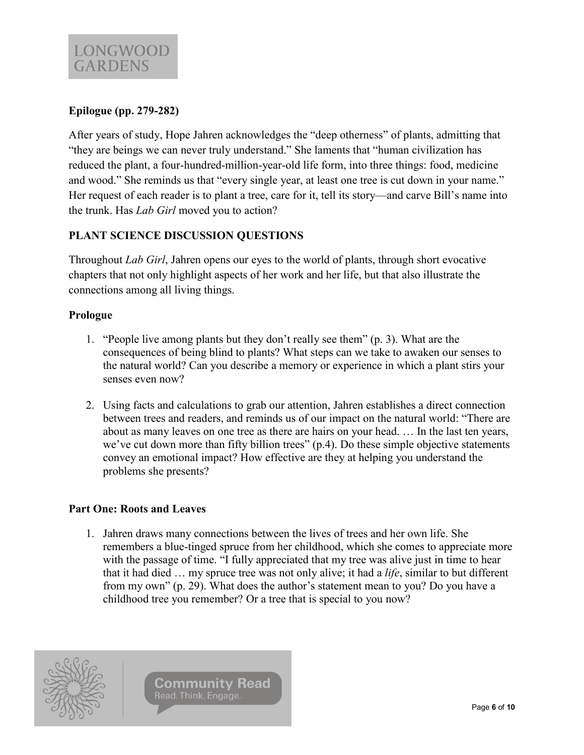# **Epilogue (pp. 279-282)**

After years of study, Hope Jahren acknowledges the "deep otherness" of plants, admitting that "they are beings we can never truly understand." She laments that "human civilization has reduced the plant, a four-hundred-million-year-old life form, into three things: food, medicine and wood." She reminds us that "every single year, at least one tree is cut down in your name." Her request of each reader is to plant a tree, care for it, tell its story—and carve Bill's name into the trunk. Has *Lab Girl* moved you to action?

## **PLANT SCIENCE DISCUSSION QUESTIONS**

Throughout *Lab Girl*, Jahren opens our eyes to the world of plants, through short evocative chapters that not only highlight aspects of her work and her life, but that also illustrate the connections among all living things.

### **Prologue**

- 1. "People live among plants but they don't really see them" (p. 3). What are the consequences of being blind to plants? What steps can we take to awaken our senses to the natural world? Can you describe a memory or experience in which a plant stirs your senses even now?
- 2. Using facts and calculations to grab our attention, Jahren establishes a direct connection between trees and readers, and reminds us of our impact on the natural world: "There are about as many leaves on one tree as there are hairs on your head. … In the last ten years, we've cut down more than fifty billion trees" (p.4). Do these simple objective statements convey an emotional impact? How effective are they at helping you understand the problems she presents?

### **Part One: Roots and Leaves**

1. Jahren draws many connections between the lives of trees and her own life. She remembers a blue-tinged spruce from her childhood, which she comes to appreciate more with the passage of time. "I fully appreciated that my tree was alive just in time to hear that it had died … my spruce tree was not only alive; it had a *life*, similar to but different from my own" (p. 29). What does the author's statement mean to you? Do you have a childhood tree you remember? Or a tree that is special to you now?

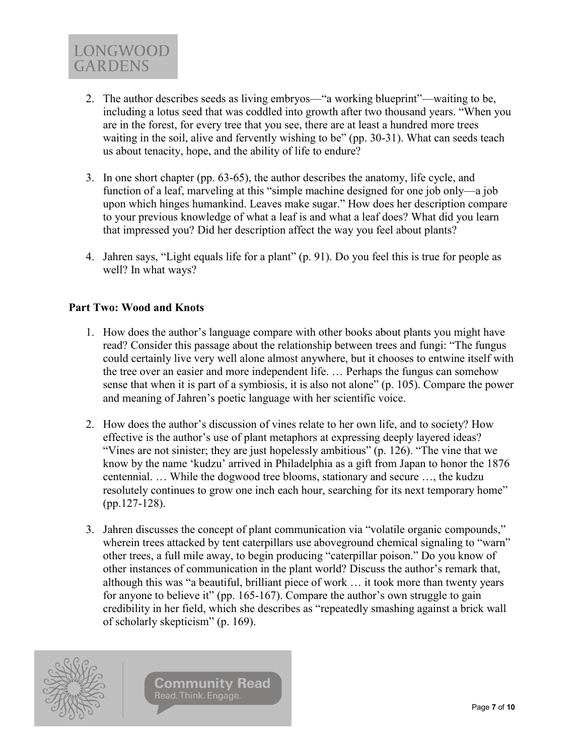

- 2. The author describes seeds as living embryos—"a working blueprint"—waiting to be, including a lotus seed that was coddled into growth after two thousand years. "When you are in the forest, for every tree that you see, there are at least a hundred more trees waiting in the soil, alive and fervently wishing to be" (pp. 30-31). What can seeds teach us about tenacity, hope, and the ability of life to endure?
- 3. In one short chapter (pp. 63-65), the author describes the anatomy, life cycle, and function of a leaf, marveling at this "simple machine designed for one job only—a job upon which hinges humankind. Leaves make sugar." How does her description compare to your previous knowledge of what a leaf is and what a leaf does? What did you learn that impressed you? Did her description affect the way you feel about plants?
- 4. Jahren says, "Light equals life for a plant" (p. 91). Do you feel this is true for people as well? In what ways?

### **Part Two: Wood and Knots**

- 1. How does the author's language compare with other books about plants you might have read? Consider this passage about the relationship between trees and fungi: "The fungus could certainly live very well alone almost anywhere, but it chooses to entwine itself with the tree over an easier and more independent life. … Perhaps the fungus can somehow sense that when it is part of a symbiosis, it is also not alone" (p. 105). Compare the power and meaning of Jahren's poetic language with her scientific voice.
- 2. How does the author's discussion of vines relate to her own life, and to society? How effective is the author's use of plant metaphors at expressing deeply layered ideas? "Vines are not sinister; they are just hopelessly ambitious" (p. 126). "The vine that we know by the name 'kudzu' arrived in Philadelphia as a gift from Japan to honor the 1876 centennial. … While the dogwood tree blooms, stationary and secure …, the kudzu resolutely continues to grow one inch each hour, searching for its next temporary home" (pp.127-128).
- 3. Jahren discusses the concept of plant communication via "volatile organic compounds," wherein trees attacked by tent caterpillars use aboveground chemical signaling to "warn" other trees, a full mile away, to begin producing "caterpillar poison." Do you know of other instances of communication in the plant world? Discuss the author's remark that, although this was "a beautiful, brilliant piece of work … it took more than twenty years for anyone to believe it" (pp. 165-167). Compare the author's own struggle to gain credibility in her field, which she describes as "repeatedly smashing against a brick wall of scholarly skepticism" (p. 169).

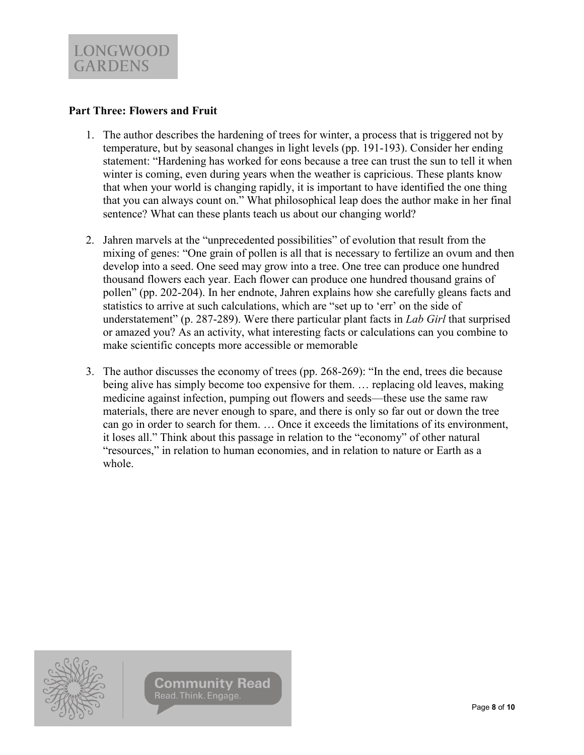### **Part Three: Flowers and Fruit**

- 1. The author describes the hardening of trees for winter, a process that is triggered not by temperature, but by seasonal changes in light levels (pp. 191-193). Consider her ending statement: "Hardening has worked for eons because a tree can trust the sun to tell it when winter is coming, even during years when the weather is capricious. These plants know that when your world is changing rapidly, it is important to have identified the one thing that you can always count on." What philosophical leap does the author make in her final sentence? What can these plants teach us about our changing world?
- 2. Jahren marvels at the "unprecedented possibilities" of evolution that result from the mixing of genes: "One grain of pollen is all that is necessary to fertilize an ovum and then develop into a seed. One seed may grow into a tree. One tree can produce one hundred thousand flowers each year. Each flower can produce one hundred thousand grains of pollen" (pp. 202-204). In her endnote, Jahren explains how she carefully gleans facts and statistics to arrive at such calculations, which are "set up to 'err' on the side of understatement" (p. 287-289). Were there particular plant facts in *Lab Girl* that surprised or amazed you? As an activity, what interesting facts or calculations can you combine to make scientific concepts more accessible or memorable
- 3. The author discusses the economy of trees (pp. 268-269): "In the end, trees die because being alive has simply become too expensive for them. … replacing old leaves, making medicine against infection, pumping out flowers and seeds—these use the same raw materials, there are never enough to spare, and there is only so far out or down the tree can go in order to search for them. … Once it exceeds the limitations of its environment, it loses all." Think about this passage in relation to the "economy" of other natural "resources," in relation to human economies, and in relation to nature or Earth as a whole.



**Community Read** Read. Think. Engage.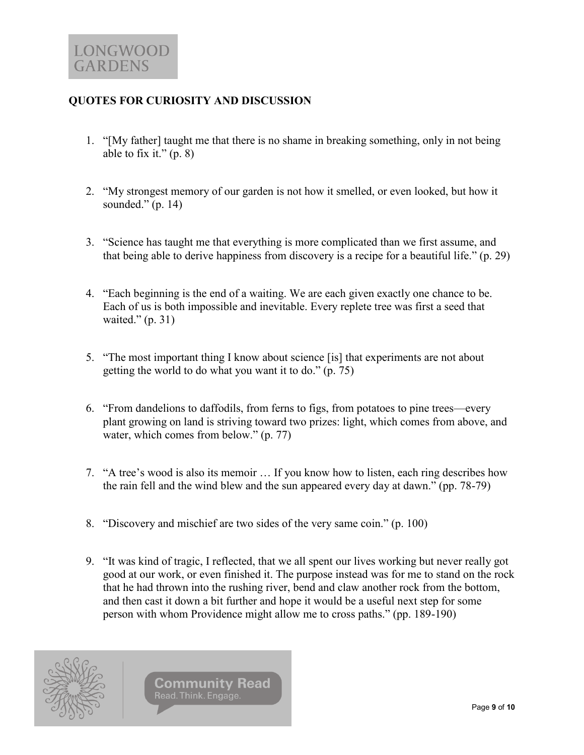## **QUOTES FOR CURIOSITY AND DISCUSSION**

- 1. "[My father] taught me that there is no shame in breaking something, only in not being able to fix it."  $(p, 8)$
- 2. "My strongest memory of our garden is not how it smelled, or even looked, but how it sounded."  $(p. 14)$
- 3. "Science has taught me that everything is more complicated than we first assume, and that being able to derive happiness from discovery is a recipe for a beautiful life." (p. 29)
- 4. "Each beginning is the end of a waiting. We are each given exactly one chance to be. Each of us is both impossible and inevitable. Every replete tree was first a seed that waited." (p. 31)
- 5. "The most important thing I know about science [is] that experiments are not about getting the world to do what you want it to do." (p. 75)
- 6. "From dandelions to daffodils, from ferns to figs, from potatoes to pine trees—every plant growing on land is striving toward two prizes: light, which comes from above, and water, which comes from below." (p. 77)
- 7. "A tree's wood is also its memoir … If you know how to listen, each ring describes how the rain fell and the wind blew and the sun appeared every day at dawn." (pp. 78-79)
- 8. "Discovery and mischief are two sides of the very same coin." (p. 100)
- 9. "It was kind of tragic, I reflected, that we all spent our lives working but never really got good at our work, or even finished it. The purpose instead was for me to stand on the rock that he had thrown into the rushing river, bend and claw another rock from the bottom, and then cast it down a bit further and hope it would be a useful next step for some person with whom Providence might allow me to cross paths." (pp. 189-190)